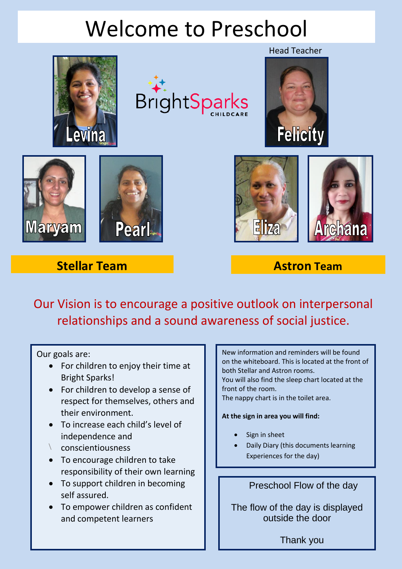## Welcome to Preschool





#### Head Teacher







# $E$



### **Stellar Team Astron Team**

Our Vision is to encourage a positive outlook on interpersonal relationships and a sound awareness of social justice.

#### Our goals are:

- For children to enjoy their time at Bright Sparks!
- For children to develop a sense of respect for themselves, others and their environment.
- To increase each child's level of independence and
- \ conscientiousness
- To encourage children to take responsibility of their own learning
- To support children in becoming self assured.
- To empower children as confident and competent learners

New information and reminders will be found on the whiteboard. This is located at the front of both Stellar and Astron rooms. You will also find the sleep chart located at the front of the room.

The nappy chart is in the toilet area.

#### **At the sign in area you will find:**

- Sign in sheet
- Daily Diary (this documents learning Experiences for the day)

#### Preschool Flow of the day

The flow of the day is displayed outside the door

Thank you